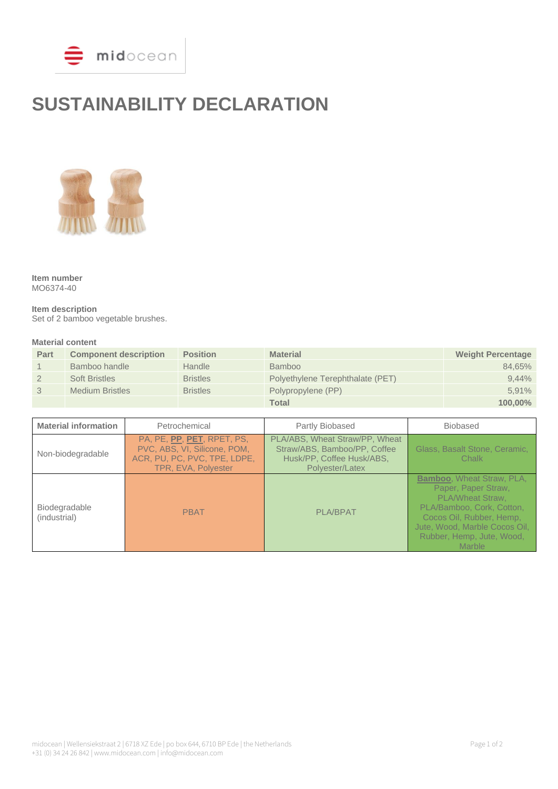

# **SUSTAINABILITY DECLARATION**



**Item number** MO6374-40

**Item description** Set of 2 bamboo vegetable brushes.

#### **Material content**

| Part | <b>Component description</b> | <b>Position</b> | <b>Material</b>                  | <b>Weight Percentage</b> |
|------|------------------------------|-----------------|----------------------------------|--------------------------|
|      | Bamboo handle                | Handle          | <b>Bamboo</b>                    | 84.65%                   |
|      | <b>Soft Bristles</b>         | <b>Bristles</b> | Polyethylene Terephthalate (PET) | 9.44%                    |
|      | <b>Medium Bristles</b>       | <b>Bristles</b> | Polypropylene (PP)               | 5.91%                    |
|      |                              |                 | Total                            | 100.00%                  |

| <b>Material information</b>   | Petrochemical                                                                                                     | Partly Biobased                                                                                                | <b>Biobased</b>                                                                                                                                                                                                            |
|-------------------------------|-------------------------------------------------------------------------------------------------------------------|----------------------------------------------------------------------------------------------------------------|----------------------------------------------------------------------------------------------------------------------------------------------------------------------------------------------------------------------------|
| Non-biodegradable             | PA, PE, PP, PET, RPET, PS,<br>PVC, ABS, VI, Silicone, POM,<br>ACR, PU, PC, PVC, TPE, LDPE,<br>TPR, EVA, Polyester | PLA/ABS, Wheat Straw/PP, Wheat<br>Straw/ABS, Bamboo/PP, Coffee<br>Husk/PP, Coffee Husk/ABS,<br>Polyester/Latex | Glass, Basalt Stone, Ceramic,<br>Chalk                                                                                                                                                                                     |
| Biodegradable<br>(industrial) | <b>PBAT</b>                                                                                                       | <b>PLA/BPAT</b>                                                                                                | <b>Bamboo, Wheat Straw, PLA,</b><br>Paper, Paper Straw,<br><b>PLA/Wheat Straw.</b><br>PLA/Bamboo, Cork, Cotton,<br>Cocos Oil, Rubber, Hemp,<br>Jute, Wood, Marble Cocos Oil,<br>Rubber, Hemp, Jute, Wood,<br><b>Marble</b> |